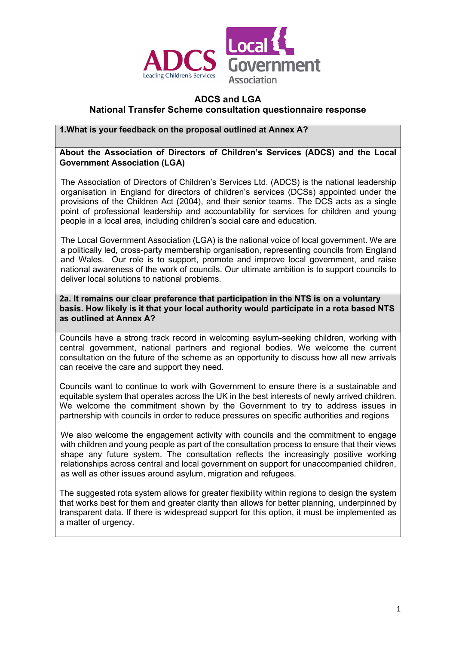

# **ADCS and LGA National Transfer Scheme consultation questionnaire response**

# **1.What is your feedback on the proposal outlined at Annex A?**

### **About the Association of Directors of Children's Services (ADCS) and the Local Government Association (LGA)**

The Association of Directors of Children's Services Ltd. (ADCS) is the national leadership organisation in England for directors of children's services (DCSs) appointed under the provisions of the Children Act (2004), and their senior teams. The DCS acts as a single point of professional leadership and accountability for services for children and young people in a local area, including children's social care and education.

The Local Government Association (LGA) is the national voice of local government. We are a politically led, cross-party membership organisation, representing councils from England and Wales. Our role is to support, promote and improve local government, and raise national awareness of the work of councils. Our ultimate ambition is to support councils to deliver local solutions to national problems.

**2a. It remains our clear preference that participation in the NTS is on a voluntary basis. How likely is it that your local authority would participate in a rota based NTS as outlined at Annex A?** 

Councils have a strong track record in welcoming asylum-seeking children, working with central government, national partners and regional bodies. We welcome the current consultation on the future of the scheme as an opportunity to discuss how all new arrivals can receive the care and support they need.

Councils want to continue to work with Government to ensure there is a sustainable and equitable system that operates across the UK in the best interests of newly arrived children. We welcome the commitment shown by the Government to try to address issues in partnership with councils in order to reduce pressures on specific authorities and regions

We also welcome the engagement activity with councils and the commitment to engage with children and young people as part of the consultation process to ensure that their views shape any future system. The consultation reflects the increasingly positive working relationships across central and local government on support for unaccompanied children, as well as other issues around asylum, migration and refugees.

The suggested rota system allows for greater flexibility within regions to design the system that works best for them and greater clarity than allows for better planning, underpinned by transparent data. If there is widespread support for this option, it must be implemented as a matter of urgency.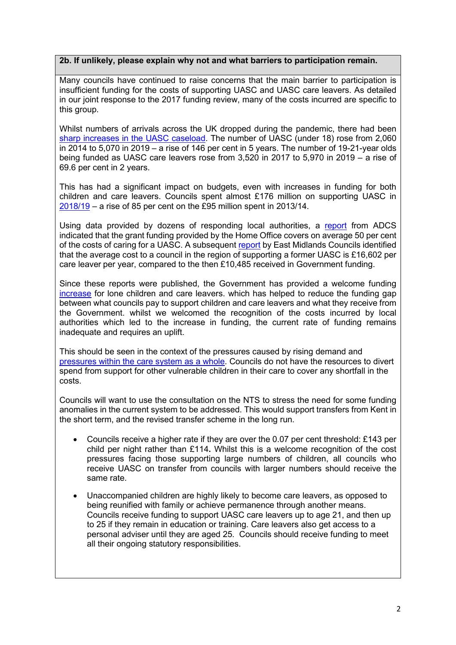#### **2b. If unlikely, please explain why not and what barriers to participation remain.**

Many councils have continued to raise concerns that the main barrier to participation is insufficient funding for the costs of supporting UASC and UASC care leavers. As detailed in our joint response to the 2017 funding review, many of the costs incurred are specific to this group.

Whilst numbers of arrivals across the UK dropped during the pandemic, there had been [sharp increases in the UASC caseload.](https://www.gov.uk/government/collections/statistics-looked-after-children) The number of UASC (under 18) rose from 2,060 in 2014 to 5,070 in 2019 – a rise of 146 per cent in 5 years. The number of 19-21-year olds being funded as UASC care leavers rose from 3,520 in 2017 to 5,970 in 2019 – a rise of 69.6 per cent in 2 years.

This has had a significant impact on budgets, even with increases in funding for both children and care leavers. Councils spent almost £176 million on supporting UASC in [2018/19](https://www.gov.uk/government/collections/local-authority-revenue-expenditure-and-financing) – a rise of 85 per cent on the £95 million spent in 2013/14.

Using data provided by dozens of responding local authorities, a [report](https://adcs.org.uk/assets/documentation/ADCS_UASC_Report_Final_FOR_PUBLICATION.pdf) from ADCS indicated that the grant funding provided by the Home Office covers on average 50 per cent of the costs of caring for a UASC. A subsequent [report](https://www.emcouncils.gov.uk/write/Analysis_of_Local_Authority_costs_and_pressurees_incurred_in_support_of_Unaccompanied_Asylum_Seeking_Child_Care_Leavers_in_the_East_Midlands.pdf) by East Midlands Councils identified that the average cost to a council in the region of supporting a former UASC is £16,602 per care leaver per year, compared to the then £10,485 received in Government funding.

Since these reports were published, the Government has provided a welcome funding [increase](http://www.gov.uk/government/publications/unaccompanied-asylum-seeking-children-uasc-grant-instructions) for lone children and care leavers. which has helped to reduce the funding gap between what councils pay to support children and care leavers and what they receive from the Government. whilst we welcomed the recognition of the costs incurred by local authorities which led to the increase in funding, the current rate of funding remains inadequate and requires an uplift.

This should be seen in the context of the pressures caused by rising demand and [pressures within the care system as a whole.](https://www.local.gov.uk/number-children-care-reaches-10-year-high) Councils do not have the resources to divert spend from support for other vulnerable children in their care to cover any shortfall in the costs.

Councils will want to use the consultation on the NTS to stress the need for some funding anomalies in the current system to be addressed. This would support transfers from Kent in the short term, and the revised transfer scheme in the long run.

- Councils receive a higher rate if they are over the 0.07 per cent threshold: £143 per child per night rather than £114**.** Whilst this is a welcome recognition of the cost pressures facing those supporting large numbers of children, all councils who receive UASC on transfer from councils with larger numbers should receive the same rate.
- Unaccompanied children are highly likely to become care leavers, as opposed to being reunified with family or achieve permanence through another means. Councils receive funding to support UASC care leavers up to age 21, and then up to 25 if they remain in education or training. Care leavers also get access to a personal adviser until they are aged 25. Councils should receive funding to meet all their ongoing statutory responsibilities.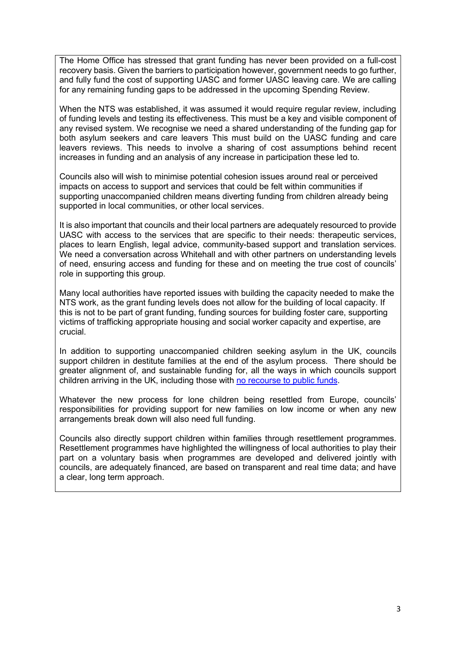The Home Office has stressed that grant funding has never been provided on a full-cost recovery basis. Given the barriers to participation however, government needs to go further, and fully fund the cost of supporting UASC and former UASC leaving care. We are calling for any remaining funding gaps to be addressed in the upcoming Spending Review.

When the NTS was established, it was assumed it would require regular review, including of funding levels and testing its effectiveness. This must be a key and visible component of any revised system. We recognise we need a shared understanding of the funding gap for both asylum seekers and care leavers This must build on the UASC funding and care leavers reviews. This needs to involve a sharing of cost assumptions behind recent increases in funding and an analysis of any increase in participation these led to.

Councils also will wish to minimise potential cohesion issues around real or perceived impacts on access to support and services that could be felt within communities if supporting unaccompanied children means diverting funding from children already being supported in local communities, or other local services.

It is also important that councils and their local partners are adequately resourced to provide UASC with access to the services that are specific to their needs: therapeutic services, places to learn English, legal advice, community-based support and translation services. We need a conversation across Whitehall and with other partners on understanding levels of need, ensuring access and funding for these and on meeting the true cost of councils' role in supporting this group*.* 

Many local authorities have reported issues with building the capacity needed to make the NTS work, as the grant funding levels does not allow for the building of local capacity. If this is not to be part of grant funding, funding sources for building foster care, supporting victims of trafficking appropriate housing and social worker capacity and expertise, are crucial.

In addition to supporting unaccompanied children seeking asylum in the UK, councils support children in destitute families at the end of the asylum process. There should be greater alignment of, and sustainable funding for, all the ways in which councils support children arriving in the UK, including those with [no recourse to public funds.](https://www.nrpfnetwork.org.uk/-/media/microsites/nrpf/documents/nrpf-connect/data-report-201920.pdf?la=en&hash=A9FAB301F6FA51DC7F6F42F79236150C8DC568DA)

Whatever the new process for lone children being resettled from Europe, councils' responsibilities for providing support for new families on low income or when any new arrangements break down will also need full funding.

Councils also directly support children within families through resettlement programmes. Resettlement programmes have highlighted the willingness of local authorities to play their part on a voluntary basis when programmes are developed and delivered jointly with councils, are adequately financed, are based on transparent and real time data; and have a clear, long term approach.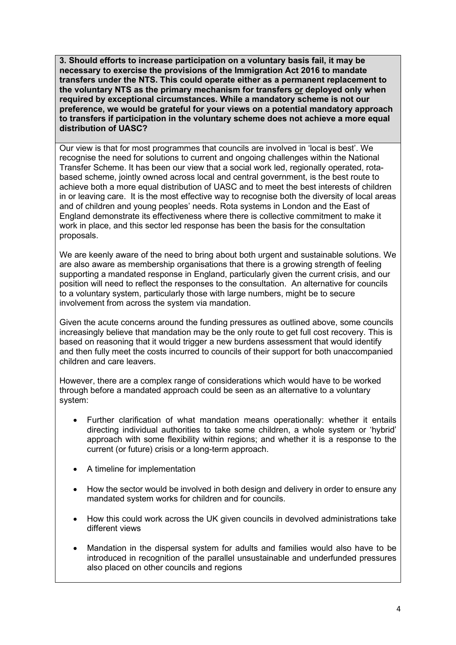**3. Should efforts to increase participation on a voluntary basis fail, it may be necessary to exercise the provisions of the Immigration Act 2016 to mandate transfers under the NTS. This could operate either as a permanent replacement to the voluntary NTS as the primary mechanism for transfers or deployed only when required by exceptional circumstances. While a mandatory scheme is not our preference, we would be grateful for your views on a potential mandatory approach to transfers if participation in the voluntary scheme does not achieve a more equal distribution of UASC?**

Our view is that for most programmes that councils are involved in 'local is best'. We recognise the need for solutions to current and ongoing challenges within the National Transfer Scheme. It has been our view that a social work led, regionally operated, rotabased scheme, jointly owned across local and central government, is the best route to achieve both a more equal distribution of UASC and to meet the best interests of children in or leaving care. It is the most effective way to recognise both the diversity of local areas and of children and young peoples' needs. Rota systems in London and the East of England demonstrate its effectiveness where there is collective commitment to make it work in place, and this sector led response has been the basis for the consultation proposals.

We are keenly aware of the need to bring about both urgent and sustainable solutions. We are also aware as membership organisations that there is a growing strength of feeling supporting a mandated response in England, particularly given the current crisis, and our position will need to reflect the responses to the consultation. An alternative for councils to a voluntary system, particularly those with large numbers, might be to secure involvement from across the system via mandation.

Given the acute concerns around the funding pressures as outlined above, some councils increasingly believe that mandation may be the only route to get full cost recovery. This is based on reasoning that it would trigger a new burdens assessment that would identify and then fully meet the costs incurred to councils of their support for both unaccompanied children and care leavers.

However, there are a complex range of considerations which would have to be worked through before a mandated approach could be seen as an alternative to a voluntary system:

- Further clarification of what mandation means operationally: whether it entails directing individual authorities to take some children, a whole system or 'hybrid' approach with some flexibility within regions; and whether it is a response to the current (or future) crisis or a long-term approach.
- A timeline for implementation
- How the sector would be involved in both design and delivery in order to ensure any mandated system works for children and for councils.
- How this could work across the UK given councils in devolved administrations take different views
- Mandation in the dispersal system for adults and families would also have to be introduced in recognition of the parallel unsustainable and underfunded pressures also placed on other councils and regions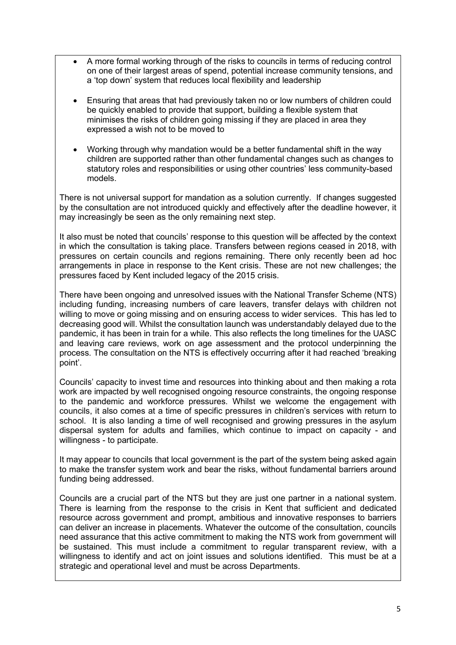- A more formal working through of the risks to councils in terms of reducing control on one of their largest areas of spend, potential increase community tensions, and a 'top down' system that reduces local flexibility and leadership
- Ensuring that areas that had previously taken no or low numbers of children could be quickly enabled to provide that support, building a flexible system that minimises the risks of children going missing if they are placed in area they expressed a wish not to be moved to
- Working through why mandation would be a better fundamental shift in the way children are supported rather than other fundamental changes such as changes to statutory roles and responsibilities or using other countries' less community-based models.

There is not universal support for mandation as a solution currently. If changes suggested by the consultation are not introduced quickly and effectively after the deadline however, it may increasingly be seen as the only remaining next step.

It also must be noted that councils' response to this question will be affected by the context in which the consultation is taking place. Transfers between regions ceased in 2018, with pressures on certain councils and regions remaining. There only recently been ad hoc arrangements in place in response to the Kent crisis. These are not new challenges; the pressures faced by Kent included legacy of the 2015 crisis.

There have been ongoing and unresolved issues with the National Transfer Scheme (NTS) including funding, increasing numbers of care leavers, transfer delays with children not willing to move or going missing and on ensuring access to wider services. This has led to decreasing good will. Whilst the consultation launch was understandably delayed due to the pandemic, it has been in train for a while. This also reflects the long timelines for the UASC and leaving care reviews, work on age assessment and the protocol underpinning the process. The consultation on the NTS is effectively occurring after it had reached 'breaking point'.

Councils' capacity to invest time and resources into thinking about and then making a rota work are impacted by well recognised ongoing resource constraints, the ongoing response to the pandemic and workforce pressures. Whilst we welcome the engagement with councils, it also comes at a time of specific pressures in children's services with return to school. It is also landing a time of well recognised and growing pressures in the asylum dispersal system for adults and families, which continue to impact on capacity - and willingness - to participate.

It may appear to councils that local government is the part of the system being asked again to make the transfer system work and bear the risks, without fundamental barriers around funding being addressed.

Councils are a crucial part of the NTS but they are just one partner in a national system. There is learning from the response to the crisis in Kent that sufficient and dedicated resource across government and prompt, ambitious and innovative responses to barriers can deliver an increase in placements. Whatever the outcome of the consultation, councils need assurance that this active commitment to making the NTS work from government will be sustained. This must include a commitment to regular transparent review, with a willingness to identify and act on joint issues and solutions identified. This must be at a strategic and operational level and must be across Departments.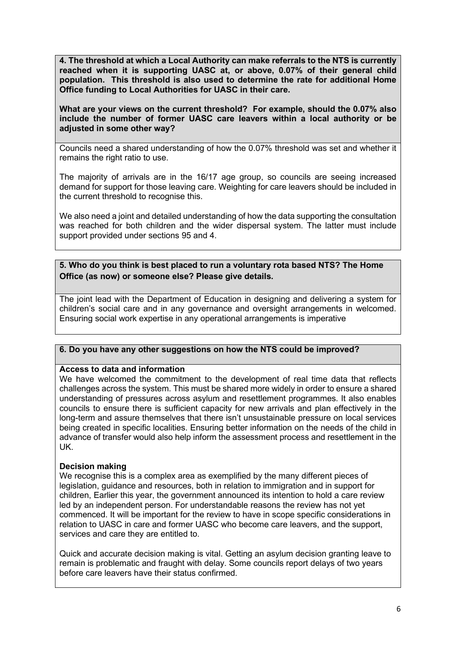**4. The threshold at which a Local Authority can make referrals to the NTS is currently reached when it is supporting UASC at, or above, 0.07% of their general child population. This threshold is also used to determine the rate for additional Home Office funding to Local Authorities for UASC in their care.**

**What are your views on the current threshold? For example, should the 0.07% also include the number of former UASC care leavers within a local authority or be adjusted in some other way?**

Councils need a shared understanding of how the 0.07% threshold was set and whether it remains the right ratio to use.

The majority of arrivals are in the 16/17 age group, so councils are seeing increased demand for support for those leaving care. Weighting for care leavers should be included in the current threshold to recognise this.

We also need a joint and detailed understanding of how the data supporting the consultation was reached for both children and the wider dispersal system. The latter must include support provided under sections 95 and 4.

### **5. Who do you think is best placed to run a voluntary rota based NTS? The Home Office (as now) or someone else? Please give details.**

The joint lead with the Department of Education in designing and delivering a system for children's social care and in any governance and oversight arrangements in welcomed. Ensuring social work expertise in any operational arrangements is imperative

### **6. Do you have any other suggestions on how the NTS could be improved?**

#### **Access to data and information**

We have welcomed the commitment to the development of real time data that reflects challenges across the system. This must be shared more widely in order to ensure a shared understanding of pressures across asylum and resettlement programmes. It also enables councils to ensure there is sufficient capacity for new arrivals and plan effectively in the long-term and assure themselves that there isn't unsustainable pressure on local services being created in specific localities. Ensuring better information on the needs of the child in advance of transfer would also help inform the assessment process and resettlement in the UK.

### **Decision making**

We recognise this is a complex area as exemplified by the many different pieces of legislation, guidance and resources, both in relation to immigration and in support for children, Earlier this year, the government announced its intention to hold a care review led by an independent person. For understandable reasons the review has not yet commenced. It will be important for the review to have in scope specific considerations in relation to UASC in care and former UASC who become care leavers, and the support, services and care they are entitled to.

Quick and accurate decision making is vital. Getting an asylum decision granting leave to remain is problematic and fraught with delay. Some councils report delays of two years before care leavers have their status confirmed.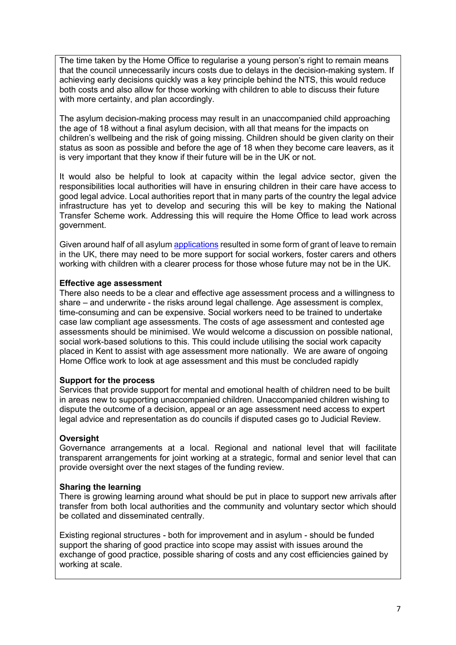The time taken by the Home Office to regularise a young person's right to remain means that the council unnecessarily incurs costs due to delays in the decision-making system. If achieving early decisions quickly was a key principle behind the NTS, this would reduce both costs and also allow for those working with children to able to discuss their future with more certainty, and plan accordingly.

The asylum decision-making process may result in an unaccompanied child approaching the age of 18 without a final asylum decision, with all that means for the impacts on children's wellbeing and the risk of going missing. Children should be given clarity on their status as soon as possible and before the age of 18 when they become care leavers, as it is very important that they know if their future will be in the UK or not.

It would also be helpful to look at capacity within the legal advice sector, given the responsibilities local authorities will have in ensuring children in their care have access to good legal advice. Local authorities report that in many parts of the country the legal advice infrastructure has yet to develop and securing this will be key to making the National Transfer Scheme work. Addressing this will require the Home Office to lead work across government.

Given around half of all asylum [applications](https://www.gov.uk/government/publications/immigration-statistics-year-ending-june-2020/how-many-people-do-we-grant-asylum-or-protection-to) resulted in some form of grant of leave to remain in the UK, there may need to be more support for social workers, foster carers and others working with children with a clearer process for those whose future may not be in the UK.

### **Effective age assessment**

There also needs to be a clear and effective age assessment process and a willingness to share – and underwrite - the risks around legal challenge. Age assessment is complex, time-consuming and can be expensive. Social workers need to be trained to undertake case law compliant age assessments. The costs of age assessment and contested age assessments should be minimised. We would welcome a discussion on possible national, social work-based solutions to this. This could include utilising the social work capacity placed in Kent to assist with age assessment more nationally. We are aware of ongoing Home Office work to look at age assessment and this must be concluded rapidly

### **Support for the process**

Services that provide support for mental and emotional health of children need to be built in areas new to supporting unaccompanied children. Unaccompanied children wishing to dispute the outcome of a decision, appeal or an age assessment need access to expert legal advice and representation as do councils if disputed cases go to Judicial Review.

# **Oversight**

Governance arrangements at a local. Regional and national level that will facilitate transparent arrangements for joint working at a strategic, formal and senior level that can provide oversight over the next stages of the funding review.

### **Sharing the learning**

There is growing learning around what should be put in place to support new arrivals after transfer from both local authorities and the community and voluntary sector which should be collated and disseminated centrally.

Existing regional structures - both for improvement and in asylum - should be funded support the sharing of good practice into scope may assist with issues around the exchange of good practice, possible sharing of costs and any cost efficiencies gained by working at scale.